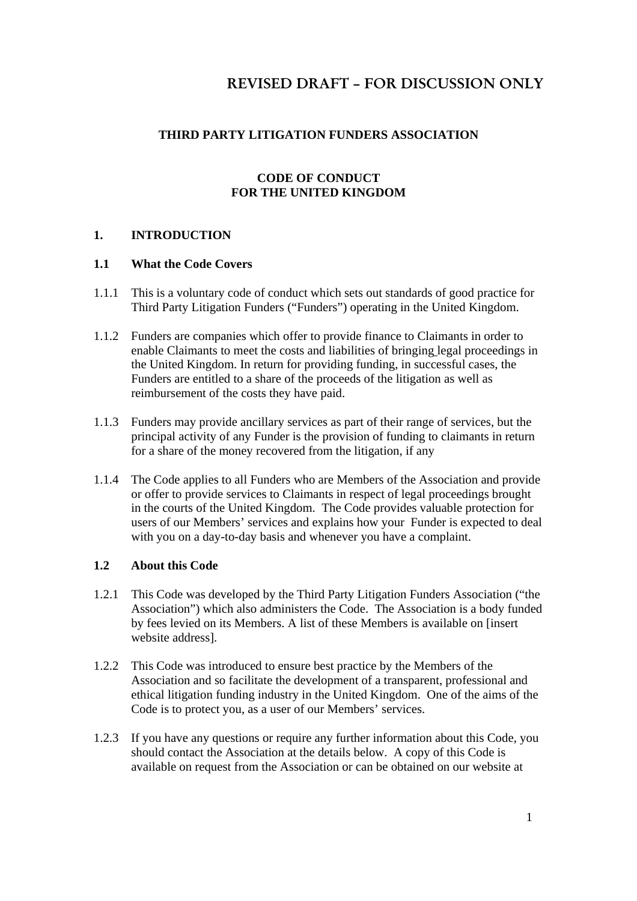## **THIRD PARTY LITIGATION FUNDERS ASSOCIATION**

### **CODE OF CONDUCT FOR THE UNITED KINGDOM**

### **1. INTRODUCTION**

### **1.1 What the Code Covers**

- 1.1.1 This is a voluntary code of conduct which sets out standards of good practice for Third Party Litigation Funders ("Funders") operating in the United Kingdom.
- 1.1.2 Funders are companies which offer to provide finance to Claimants in order to enable Claimants to meet the costs and liabilities of bringing legal proceedings in the United Kingdom. In return for providing funding, in successful cases, the Funders are entitled to a share of the proceeds of the litigation as well as reimbursement of the costs they have paid.
- 1.1.3 Funders may provide ancillary services as part of their range of services, but the principal activity of any Funder is the provision of funding to claimants in return for a share of the money recovered from the litigation, if any
- 1.1.4 The Code applies to all Funders who are Members of the Association and provide or offer to provide services to Claimants in respect of legal proceedings brought in the courts of the United Kingdom. The Code provides valuable protection for users of our Members' services and explains how your Funder is expected to deal with you on a day-to-day basis and whenever you have a complaint.

### **1.2 About this Code**

- 1.2.1 This Code was developed by the Third Party Litigation Funders Association ("the Association") which also administers the Code. The Association is a body funded by fees levied on its Members. A list of these Members is available on [insert website address].
- 1.2.2 This Code was introduced to ensure best practice by the Members of the Association and so facilitate the development of a transparent, professional and ethical litigation funding industry in the United Kingdom. One of the aims of the Code is to protect you, as a user of our Members' services.
- 1.2.3 If you have any questions or require any further information about this Code, you should contact the Association at the details below. A copy of this Code is available on request from the Association or can be obtained on our website at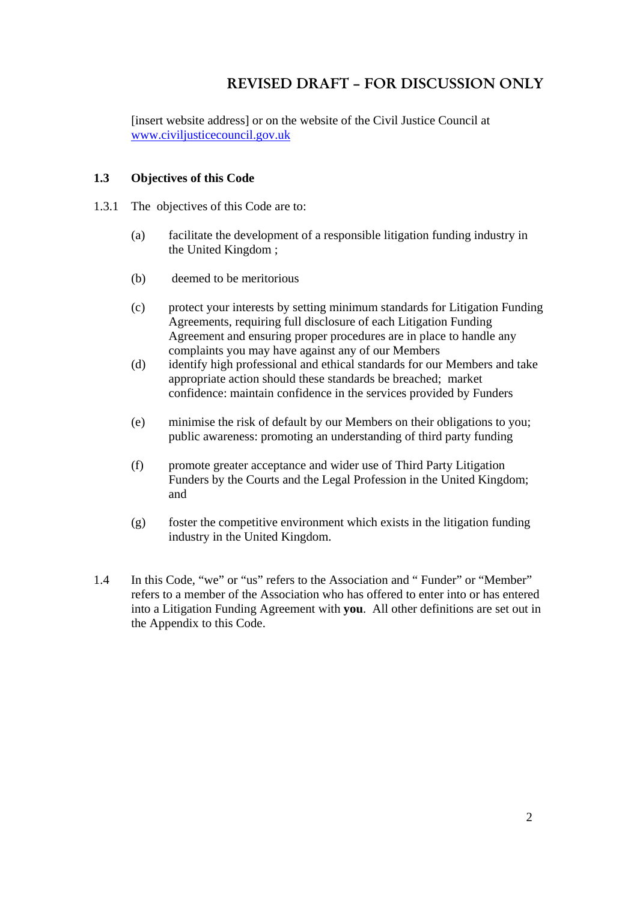[insert website address] or on the website of the Civil Justice Council at www.civiljusticecouncil.gov.uk

#### **1.3 Objectives of this Code**

- 1.3.1 The objectives of this Code are to:
	- (a) facilitate the development of a responsible litigation funding industry in the United Kingdom ;
	- (b) deemed to be meritorious
	- (c) protect your interests by setting minimum standards for Litigation Funding Agreements, requiring full disclosure of each Litigation Funding Agreement and ensuring proper procedures are in place to handle any complaints you may have against any of our Members
	- (d) identify high professional and ethical standards for our Members and take appropriate action should these standards be breached; market confidence: maintain confidence in the services provided by Funders
	- (e) minimise the risk of default by our Members on their obligations to you; public awareness: promoting an understanding of third party funding
	- (f) promote greater acceptance and wider use of Third Party Litigation Funders by the Courts and the Legal Profession in the United Kingdom; and
	- $(g)$  foster the competitive environment which exists in the litigation funding industry in the United Kingdom.
- 1.4 In this Code, "we" or "us" refers to the Association and " Funder" or "Member" refers to a member of the Association who has offered to enter into or has entered into a Litigation Funding Agreement with **you**. All other definitions are set out in the Appendix to this Code.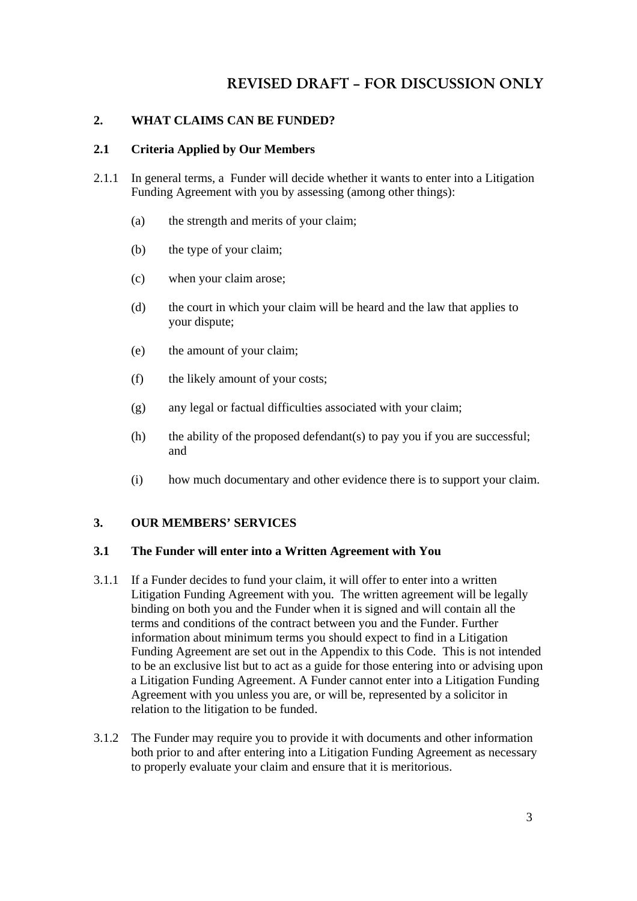### **2. WHAT CLAIMS CAN BE FUNDED?**

#### **2.1 Criteria Applied by Our Members**

- 2.1.1 In general terms, a Funder will decide whether it wants to enter into a Litigation Funding Agreement with you by assessing (among other things):
	- (a) the strength and merits of your claim;
	- (b) the type of your claim;
	- (c) when your claim arose;
	- (d) the court in which your claim will be heard and the law that applies to your dispute;
	- (e) the amount of your claim;
	- (f) the likely amount of your costs;
	- (g) any legal or factual difficulties associated with your claim;
	- (h) the ability of the proposed defendant(s) to pay you if you are successful; and
	- (i) how much documentary and other evidence there is to support your claim.

#### **3. OUR MEMBERS' SERVICES**

#### **3.1 The Funder will enter into a Written Agreement with You**

- 3.1.1 If a Funder decides to fund your claim, it will offer to enter into a written Litigation Funding Agreement with you. The written agreement will be legally binding on both you and the Funder when it is signed and will contain all the terms and conditions of the contract between you and the Funder. Further information about minimum terms you should expect to find in a Litigation Funding Agreement are set out in the Appendix to this Code. This is not intended to be an exclusive list but to act as a guide for those entering into or advising upon a Litigation Funding Agreement. A Funder cannot enter into a Litigation Funding Agreement with you unless you are, or will be, represented by a solicitor in relation to the litigation to be funded.
- 3.1.2 The Funder may require you to provide it with documents and other information both prior to and after entering into a Litigation Funding Agreement as necessary to properly evaluate your claim and ensure that it is meritorious.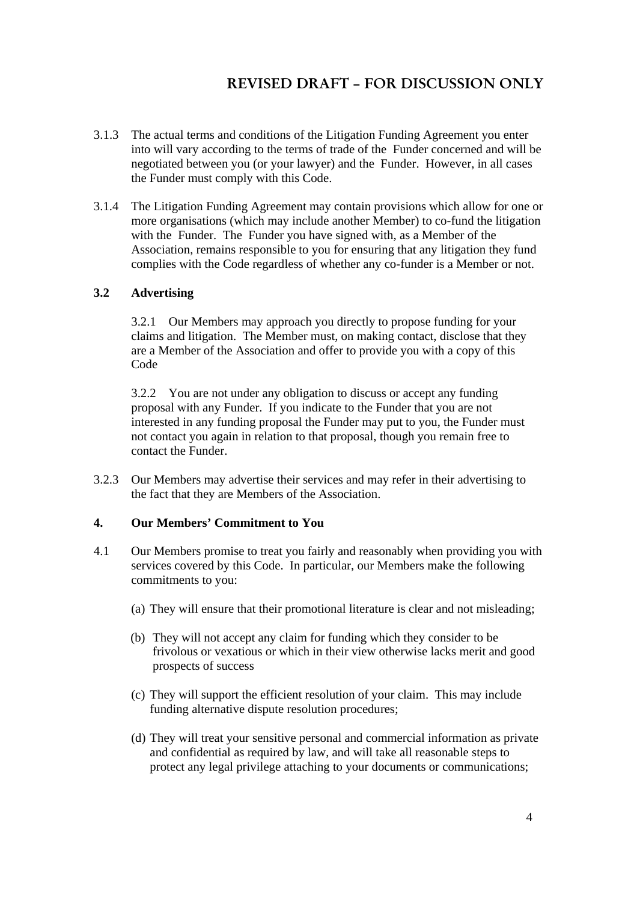- 3.1.3 The actual terms and conditions of the Litigation Funding Agreement you enter into will vary according to the terms of trade of the Funder concerned and will be negotiated between you (or your lawyer) and the Funder. However, in all cases the Funder must comply with this Code.
- 3.1.4 The Litigation Funding Agreement may contain provisions which allow for one or more organisations (which may include another Member) to co-fund the litigation with the Funder. The Funder you have signed with, as a Member of the Association, remains responsible to you for ensuring that any litigation they fund complies with the Code regardless of whether any co-funder is a Member or not.

### **3.2 Advertising**

3.2.1 Our Members may approach you directly to propose funding for your claims and litigation. The Member must, on making contact, disclose that they are a Member of the Association and offer to provide you with a copy of this Code

3.2.2 You are not under any obligation to discuss or accept any funding proposal with any Funder. If you indicate to the Funder that you are not interested in any funding proposal the Funder may put to you, the Funder must not contact you again in relation to that proposal, though you remain free to contact the Funder.

3.2.3 Our Members may advertise their services and may refer in their advertising to the fact that they are Members of the Association.

#### **4. Our Members' Commitment to You**

- 4.1 Our Members promise to treat you fairly and reasonably when providing you with services covered by this Code. In particular, our Members make the following commitments to you:
	- (a) They will ensure that their promotional literature is clear and not misleading;
	- (b) They will not accept any claim for funding which they consider to be frivolous or vexatious or which in their view otherwise lacks merit and good prospects of success
	- (c) They will support the efficient resolution of your claim. This may include funding alternative dispute resolution procedures;
	- (d) They will treat your sensitive personal and commercial information as private and confidential as required by law, and will take all reasonable steps to protect any legal privilege attaching to your documents or communications;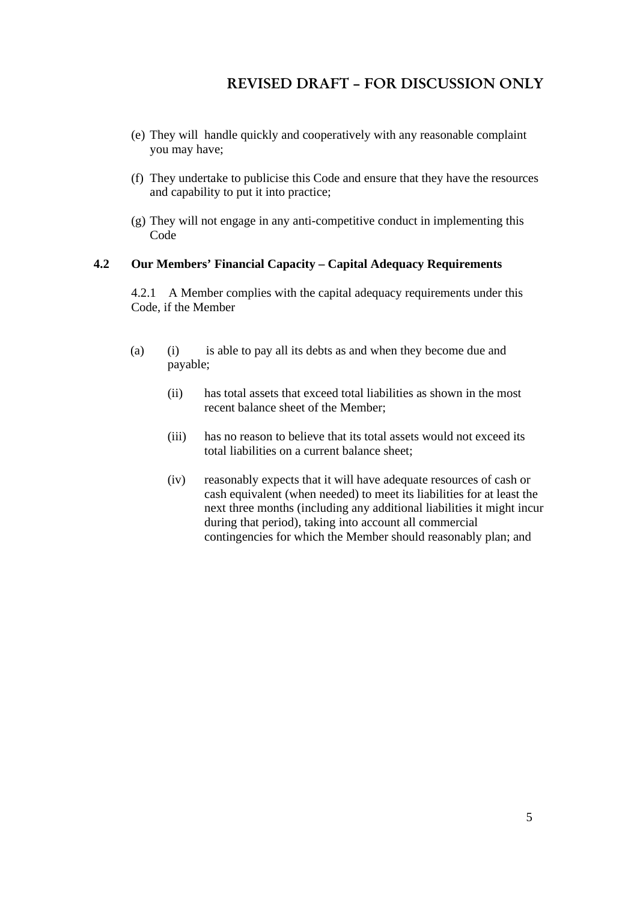- (e) They will handle quickly and cooperatively with any reasonable complaint you may have;
- (f) They undertake to publicise this Code and ensure that they have the resources and capability to put it into practice;
- (g) They will not engage in any anti-competitive conduct in implementing this Code

#### **4.2 Our Members' Financial Capacity – Capital Adequacy Requirements**

4.2.1 A Member complies with the capital adequacy requirements under this Code, if the Member

- (a) (i) is able to pay all its debts as and when they become due and payable;
	- (ii) has total assets that exceed total liabilities as shown in the most recent balance sheet of the Member;
	- (iii) has no reason to believe that its total assets would not exceed its total liabilities on a current balance sheet;
	- (iv) reasonably expects that it will have adequate resources of cash or cash equivalent (when needed) to meet its liabilities for at least the next three months (including any additional liabilities it might incur during that period), taking into account all commercial contingencies for which the Member should reasonably plan; and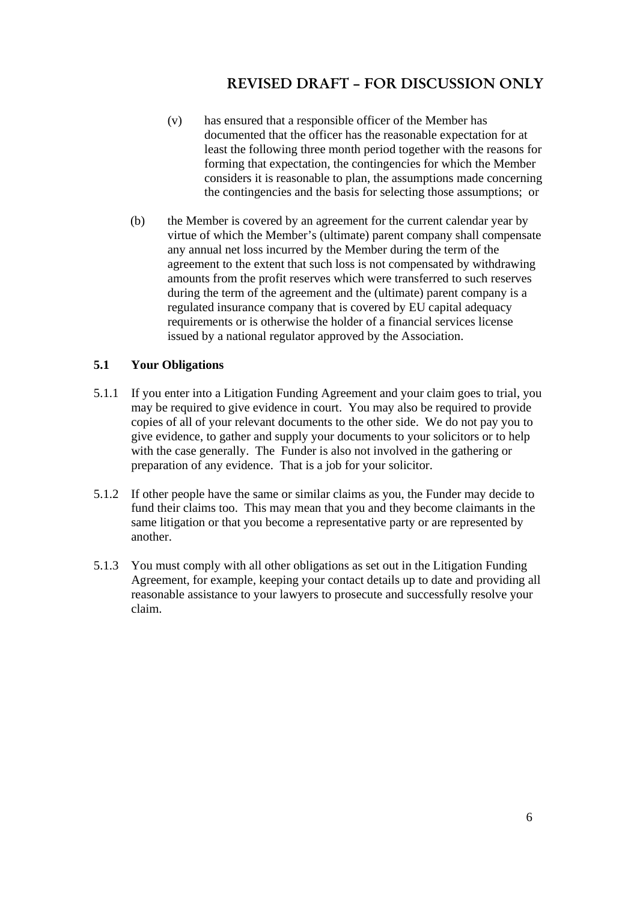- (v) has ensured that a responsible officer of the Member has documented that the officer has the reasonable expectation for at least the following three month period together with the reasons for forming that expectation, the contingencies for which the Member considers it is reasonable to plan, the assumptions made concerning the contingencies and the basis for selecting those assumptions; or
- (b) the Member is covered by an agreement for the current calendar year by virtue of which the Member's (ultimate) parent company shall compensate any annual net loss incurred by the Member during the term of the agreement to the extent that such loss is not compensated by withdrawing amounts from the profit reserves which were transferred to such reserves during the term of the agreement and the (ultimate) parent company is a regulated insurance company that is covered by EU capital adequacy requirements or is otherwise the holder of a financial services license issued by a national regulator approved by the Association.

### **5.1 Your Obligations**

- 5.1.1 If you enter into a Litigation Funding Agreement and your claim goes to trial, you may be required to give evidence in court. You may also be required to provide copies of all of your relevant documents to the other side. We do not pay you to give evidence, to gather and supply your documents to your solicitors or to help with the case generally. The Funder is also not involved in the gathering or preparation of any evidence. That is a job for your solicitor.
- 5.1.2 If other people have the same or similar claims as you, the Funder may decide to fund their claims too. This may mean that you and they become claimants in the same litigation or that you become a representative party or are represented by another.
- 5.1.3 You must comply with all other obligations as set out in the Litigation Funding Agreement, for example, keeping your contact details up to date and providing all reasonable assistance to your lawyers to prosecute and successfully resolve your claim.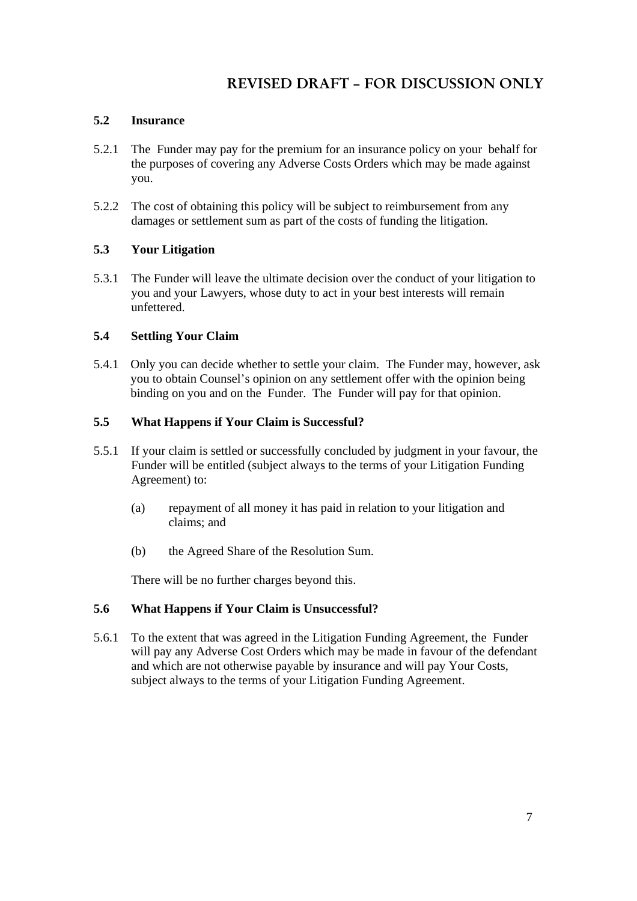### **5.2 Insurance**

- 5.2.1 The Funder may pay for the premium for an insurance policy on your behalf for the purposes of covering any Adverse Costs Orders which may be made against you.
- 5.2.2 The cost of obtaining this policy will be subject to reimbursement from any damages or settlement sum as part of the costs of funding the litigation.

### **5.3 Your Litigation**

5.3.1 The Funder will leave the ultimate decision over the conduct of your litigation to you and your Lawyers, whose duty to act in your best interests will remain unfettered.

### **5.4 Settling Your Claim**

5.4.1 Only you can decide whether to settle your claim. The Funder may, however, ask you to obtain Counsel's opinion on any settlement offer with the opinion being binding on you and on the Funder. The Funder will pay for that opinion.

### **5.5 What Happens if Your Claim is Successful?**

- 5.5.1 If your claim is settled or successfully concluded by judgment in your favour, the Funder will be entitled (subject always to the terms of your Litigation Funding Agreement) to:
	- (a) repayment of all money it has paid in relation to your litigation and claims; and
	- (b) the Agreed Share of the Resolution Sum.

There will be no further charges beyond this.

### **5.6 What Happens if Your Claim is Unsuccessful?**

5.6.1 To the extent that was agreed in the Litigation Funding Agreement, the Funder will pay any Adverse Cost Orders which may be made in favour of the defendant and which are not otherwise payable by insurance and will pay Your Costs, subject always to the terms of your Litigation Funding Agreement.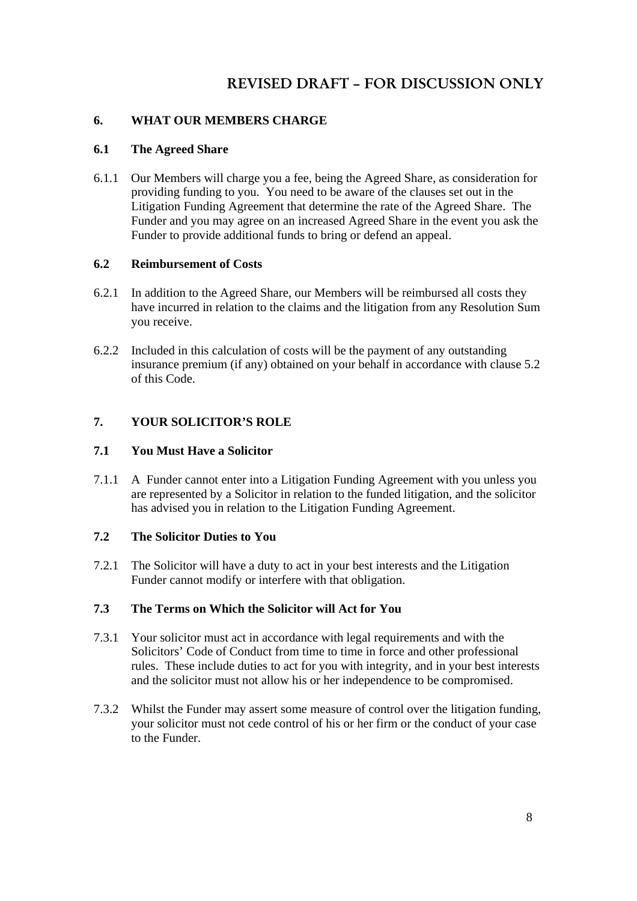### **6. WHAT OUR MEMBERS CHARGE**

### **6.1 The Agreed Share**

6.1.1 Our Members will charge you a fee, being the Agreed Share, as consideration for providing funding to you. You need to be aware of the clauses set out in the Litigation Funding Agreement that determine the rate of the Agreed Share. The Funder and you may agree on an increased Agreed Share in the event you ask the Funder to provide additional funds to bring or defend an appeal.

### **6.2 Reimbursement of Costs**

- 6.2.1 In addition to the Agreed Share, our Members will be reimbursed all costs they have incurred in relation to the claims and the litigation from any Resolution Sum you receive.
- 6.2.2 Included in this calculation of costs will be the payment of any outstanding insurance premium (if any) obtained on your behalf in accordance with clause 5.2 of this Code.

### **7. YOUR SOLICITOR'S ROLE**

### **7.1 You Must Have a Solicitor**

7.1.1 A Funder cannot enter into a Litigation Funding Agreement with you unless you are represented by a Solicitor in relation to the funded litigation, and the solicitor has advised you in relation to the Litigation Funding Agreement.

### **7.2 The Solicitor Duties to You**

7.2.1 The Solicitor will have a duty to act in your best interests and the Litigation Funder cannot modify or interfere with that obligation.

### **7.3 The Terms on Which the Solicitor will Act for You**

- 7.3.1 Your solicitor must act in accordance with legal requirements and with the Solicitors' Code of Conduct from time to time in force and other professional rules. These include duties to act for you with integrity, and in your best interests and the solicitor must not allow his or her independence to be compromised.
- 7.3.2 Whilst the Funder may assert some measure of control over the litigation funding, your solicitor must not cede control of his or her firm or the conduct of your case to the Funder.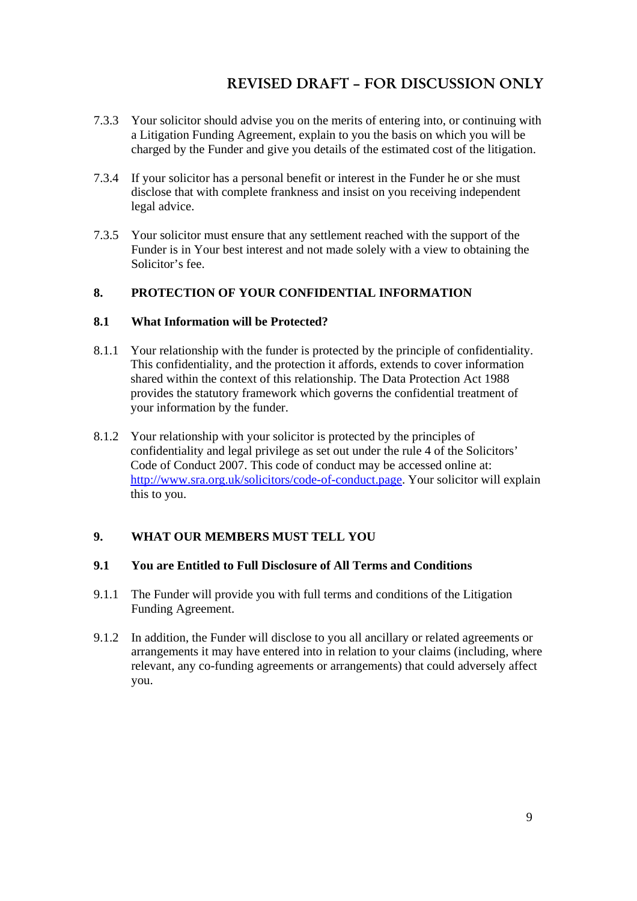- 7.3.3 Your solicitor should advise you on the merits of entering into, or continuing with a Litigation Funding Agreement, explain to you the basis on which you will be charged by the Funder and give you details of the estimated cost of the litigation.
- 7.3.4 If your solicitor has a personal benefit or interest in the Funder he or she must disclose that with complete frankness and insist on you receiving independent legal advice.
- 7.3.5 Your solicitor must ensure that any settlement reached with the support of the Funder is in Your best interest and not made solely with a view to obtaining the Solicitor's fee.

### **8. PROTECTION OF YOUR CONFIDENTIAL INFORMATION**

### **8.1 What Information will be Protected?**

- 8.1.1 Your relationship with the funder is protected by the principle of confidentiality. This confidentiality, and the protection it affords, extends to cover information shared within the context of this relationship. The Data Protection Act 1988 provides the statutory framework which governs the confidential treatment of your information by the funder.
- 8.1.2 Your relationship with your solicitor is protected by the principles of confidentiality and legal privilege as set out under the rule 4 of the Solicitors' Code of Conduct 2007. This code of conduct may be accessed online at: http://www.sra.org.uk/solicitors/code-of-conduct.page. Your solicitor will explain this to you.

## **9. WHAT OUR MEMBERS MUST TELL YOU**

### **9.1 You are Entitled to Full Disclosure of All Terms and Conditions**

- 9.1.1 The Funder will provide you with full terms and conditions of the Litigation Funding Agreement.
- 9.1.2 In addition, the Funder will disclose to you all ancillary or related agreements or arrangements it may have entered into in relation to your claims (including, where relevant, any co-funding agreements or arrangements) that could adversely affect you.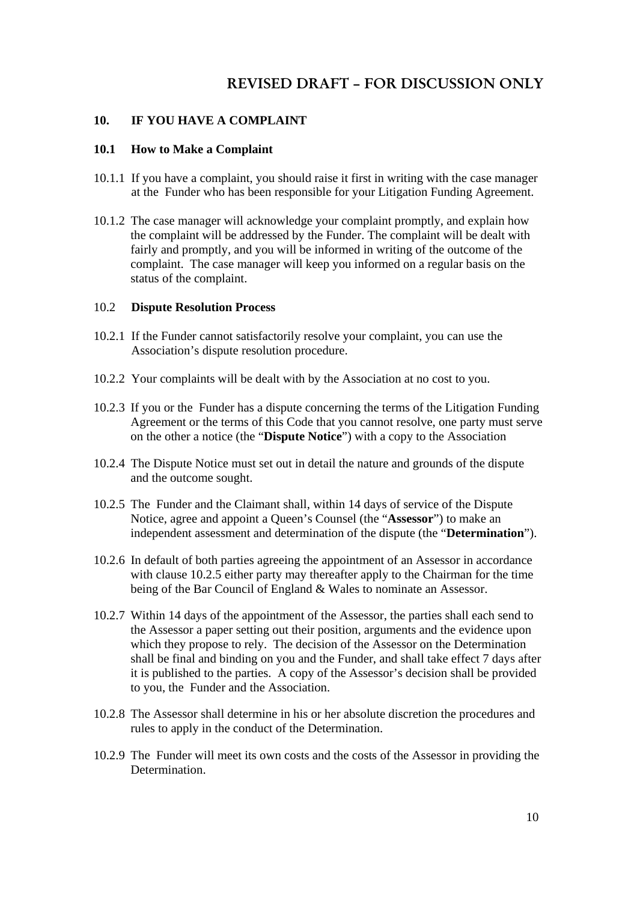#### **10. IF YOU HAVE A COMPLAINT**

### **10.1 How to Make a Complaint**

- 10.1.1 If you have a complaint, you should raise it first in writing with the case manager at the Funder who has been responsible for your Litigation Funding Agreement.
- 10.1.2 The case manager will acknowledge your complaint promptly, and explain how the complaint will be addressed by the Funder. The complaint will be dealt with fairly and promptly, and you will be informed in writing of the outcome of the complaint. The case manager will keep you informed on a regular basis on the status of the complaint.

#### 10.2 **Dispute Resolution Process**

- 10.2.1 If the Funder cannot satisfactorily resolve your complaint, you can use the Association's dispute resolution procedure.
- 10.2.2 Your complaints will be dealt with by the Association at no cost to you.
- 10.2.3 If you or the Funder has a dispute concerning the terms of the Litigation Funding Agreement or the terms of this Code that you cannot resolve, one party must serve on the other a notice (the "**Dispute Notice**") with a copy to the Association
- 10.2.4 The Dispute Notice must set out in detail the nature and grounds of the dispute and the outcome sought.
- 10.2.5 The Funder and the Claimant shall, within 14 days of service of the Dispute Notice, agree and appoint a Queen's Counsel (the "**Assessor**") to make an independent assessment and determination of the dispute (the "**Determination**").
- 10.2.6 In default of both parties agreeing the appointment of an Assessor in accordance with clause 10.2.5 either party may thereafter apply to the Chairman for the time being of the Bar Council of England & Wales to nominate an Assessor.
- 10.2.7 Within 14 days of the appointment of the Assessor, the parties shall each send to the Assessor a paper setting out their position, arguments and the evidence upon which they propose to rely. The decision of the Assessor on the Determination shall be final and binding on you and the Funder, and shall take effect 7 days after it is published to the parties. A copy of the Assessor's decision shall be provided to you, the Funder and the Association.
- 10.2.8 The Assessor shall determine in his or her absolute discretion the procedures and rules to apply in the conduct of the Determination.
- 10.2.9 The Funder will meet its own costs and the costs of the Assessor in providing the **Determination**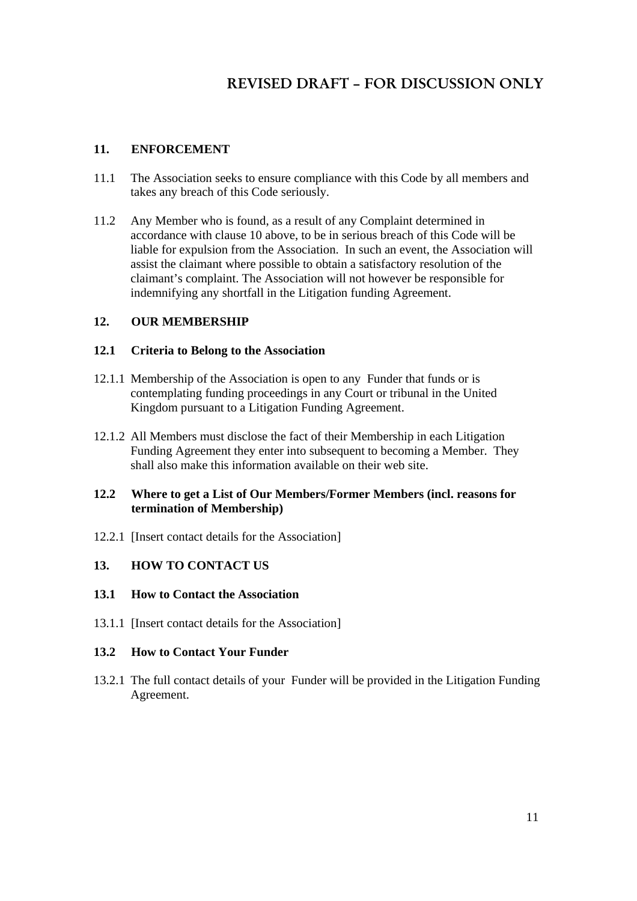### **11. ENFORCEMENT**

- 11.1 The Association seeks to ensure compliance with this Code by all members and takes any breach of this Code seriously.
- 11.2 Any Member who is found, as a result of any Complaint determined in accordance with clause 10 above, to be in serious breach of this Code will be liable for expulsion from the Association. In such an event, the Association will assist the claimant where possible to obtain a satisfactory resolution of the claimant's complaint. The Association will not however be responsible for indemnifying any shortfall in the Litigation funding Agreement.

### **12. OUR MEMBERSHIP**

#### **12.1 Criteria to Belong to the Association**

- 12.1.1 Membership of the Association is open to any Funder that funds or is contemplating funding proceedings in any Court or tribunal in the United Kingdom pursuant to a Litigation Funding Agreement.
- 12.1.2 All Members must disclose the fact of their Membership in each Litigation Funding Agreement they enter into subsequent to becoming a Member. They shall also make this information available on their web site.

#### **12.2 Where to get a List of Our Members/Former Members (incl. reasons for termination of Membership)**

12.2.1 [Insert contact details for the Association]

#### **13. HOW TO CONTACT US**

#### **13.1 How to Contact the Association**

13.1.1 [Insert contact details for the Association]

#### **13.2 How to Contact Your Funder**

13.2.1 The full contact details of your Funder will be provided in the Litigation Funding Agreement.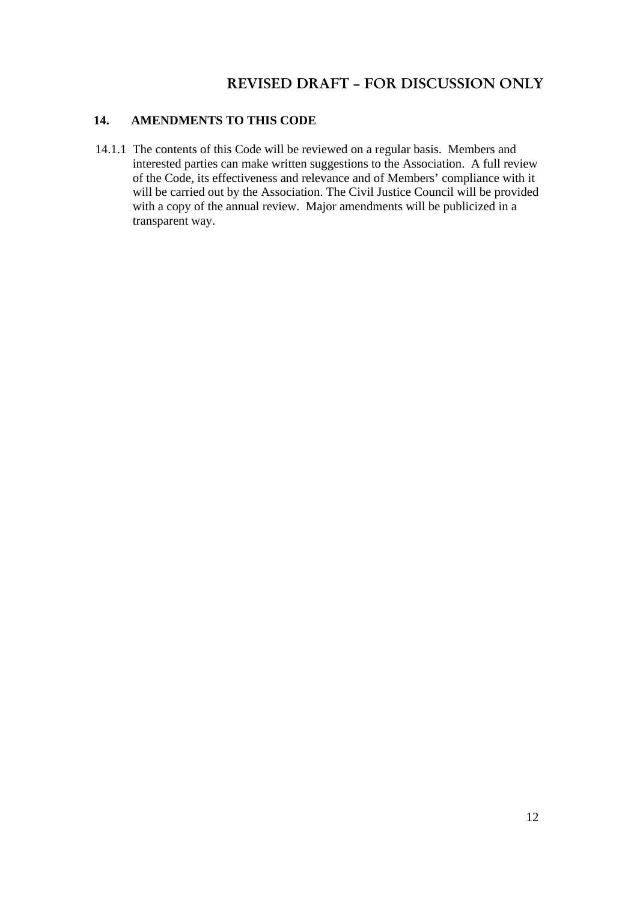### **14. AMENDMENTS TO THIS CODE**

14.1.1 The contents of this Code will be reviewed on a regular basis. Members and interested parties can make written suggestions to the Association. A full review of the Code, its effectiveness and relevance and of Members' compliance with it will be carried out by the Association. The Civil Justice Council will be provided with a copy of the annual review. Major amendments will be publicized in a transparent way.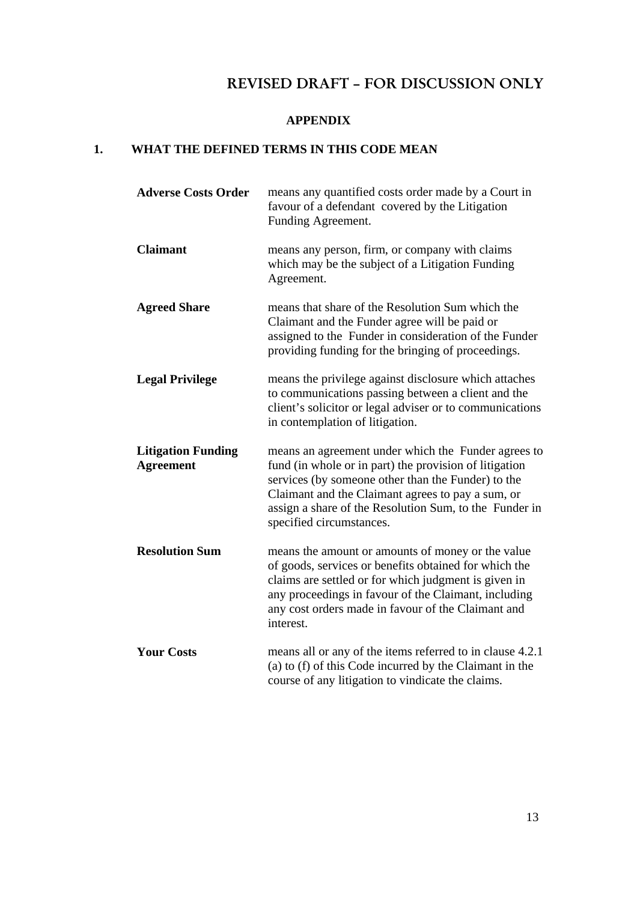## **APPENDIX**

# **1. WHAT THE DEFINED TERMS IN THIS CODE MEAN**

| <b>Adverse Costs Order</b>                    | means any quantified costs order made by a Court in<br>favour of a defendant covered by the Litigation<br>Funding Agreement.                                                                                                                                                                                   |
|-----------------------------------------------|----------------------------------------------------------------------------------------------------------------------------------------------------------------------------------------------------------------------------------------------------------------------------------------------------------------|
| <b>Claimant</b>                               | means any person, firm, or company with claims<br>which may be the subject of a Litigation Funding<br>Agreement.                                                                                                                                                                                               |
| <b>Agreed Share</b>                           | means that share of the Resolution Sum which the<br>Claimant and the Funder agree will be paid or<br>assigned to the Funder in consideration of the Funder<br>providing funding for the bringing of proceedings.                                                                                               |
| <b>Legal Privilege</b>                        | means the privilege against disclosure which attaches<br>to communications passing between a client and the<br>client's solicitor or legal adviser or to communications<br>in contemplation of litigation.                                                                                                     |
| <b>Litigation Funding</b><br><b>Agreement</b> | means an agreement under which the Funder agrees to<br>fund (in whole or in part) the provision of litigation<br>services (by someone other than the Funder) to the<br>Claimant and the Claimant agrees to pay a sum, or<br>assign a share of the Resolution Sum, to the Funder in<br>specified circumstances. |
| <b>Resolution Sum</b>                         | means the amount or amounts of money or the value<br>of goods, services or benefits obtained for which the<br>claims are settled or for which judgment is given in<br>any proceedings in favour of the Claimant, including<br>any cost orders made in favour of the Claimant and<br>interest.                  |
| <b>Your Costs</b>                             | means all or any of the items referred to in clause 4.2.1<br>(a) to (f) of this Code incurred by the Claimant in the<br>course of any litigation to vindicate the claims.                                                                                                                                      |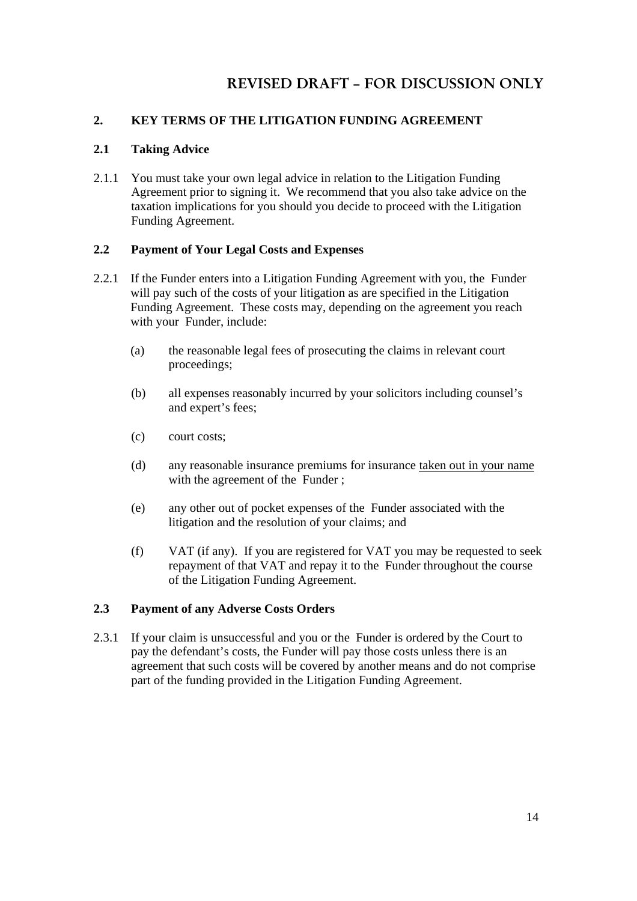### **2. KEY TERMS OF THE LITIGATION FUNDING AGREEMENT**

### **2.1 Taking Advice**

2.1.1 You must take your own legal advice in relation to the Litigation Funding Agreement prior to signing it. We recommend that you also take advice on the taxation implications for you should you decide to proceed with the Litigation Funding Agreement.

### **2.2 Payment of Your Legal Costs and Expenses**

- 2.2.1 If the Funder enters into a Litigation Funding Agreement with you, the Funder will pay such of the costs of your litigation as are specified in the Litigation Funding Agreement. These costs may, depending on the agreement you reach with your Funder, include:
	- (a) the reasonable legal fees of prosecuting the claims in relevant court proceedings;
	- (b) all expenses reasonably incurred by your solicitors including counsel's and expert's fees;
	- (c) court costs;
	- (d) any reasonable insurance premiums for insurance taken out in your name with the agreement of the Funder ;
	- (e) any other out of pocket expenses of the Funder associated with the litigation and the resolution of your claims; and
	- (f) VAT (if any). If you are registered for VAT you may be requested to seek repayment of that VAT and repay it to the Funder throughout the course of the Litigation Funding Agreement.

### **2.3 Payment of any Adverse Costs Orders**

2.3.1 If your claim is unsuccessful and you or the Funder is ordered by the Court to pay the defendant's costs, the Funder will pay those costs unless there is an agreement that such costs will be covered by another means and do not comprise part of the funding provided in the Litigation Funding Agreement.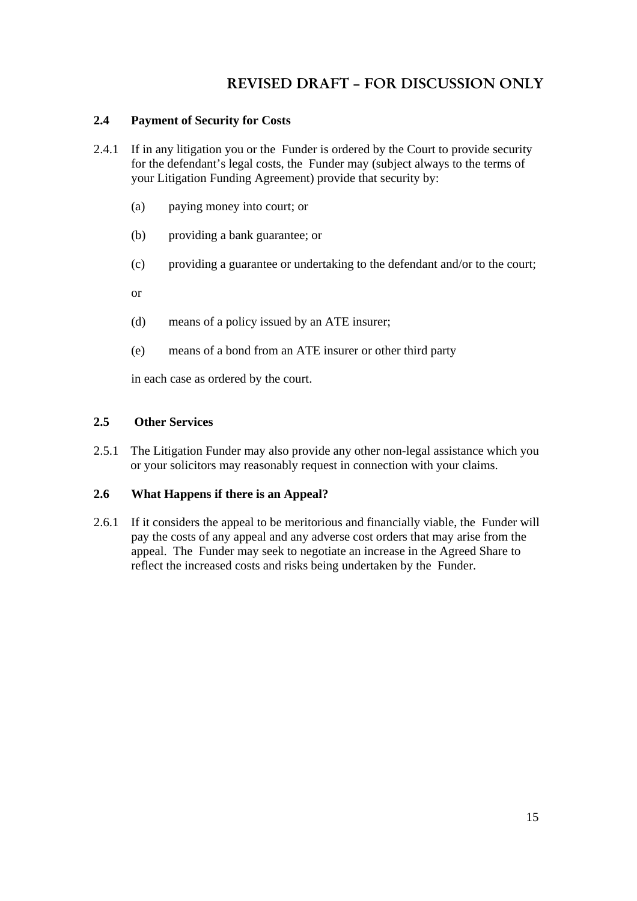### **2.4 Payment of Security for Costs**

- 2.4.1 If in any litigation you or the Funder is ordered by the Court to provide security for the defendant's legal costs, the Funder may (subject always to the terms of your Litigation Funding Agreement) provide that security by:
	- (a) paying money into court; or
	- (b) providing a bank guarantee; or
	- (c) providing a guarantee or undertaking to the defendant and/or to the court;

or

- (d) means of a policy issued by an ATE insurer;
- (e) means of a bond from an ATE insurer or other third party

in each case as ordered by the court.

#### **2.5 Other Services**

2.5.1 The Litigation Funder may also provide any other non-legal assistance which you or your solicitors may reasonably request in connection with your claims.

### **2.6 What Happens if there is an Appeal?**

2.6.1 If it considers the appeal to be meritorious and financially viable, the Funder will pay the costs of any appeal and any adverse cost orders that may arise from the appeal. The Funder may seek to negotiate an increase in the Agreed Share to reflect the increased costs and risks being undertaken by the Funder.